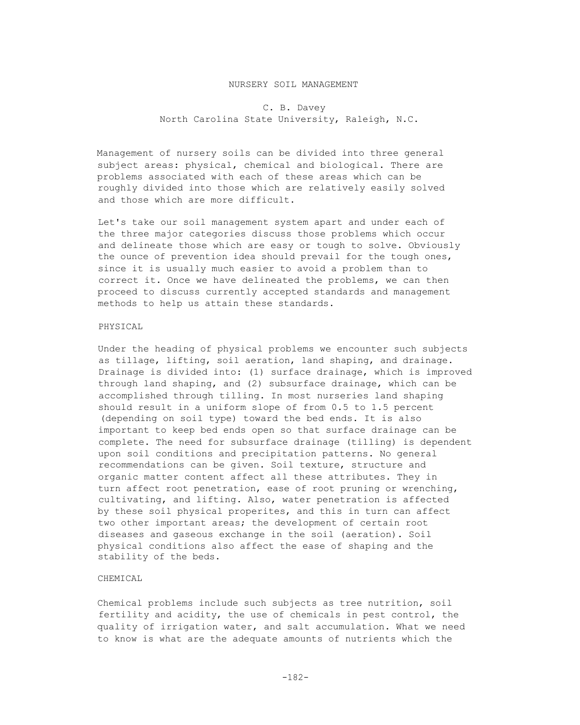### NURSERY SOIL MANAGEMENT

# C. B. Davey North Carolina State University, Raleigh, N.C.

Management of nursery soils can be divided into three general subject areas: physical, chemical and biological. There are problems associated with each of these areas which can be roughly divided into those which are relatively easily solved and those which are more difficult.

Let's take our soil management system apart and under each of the three major categories discuss those problems which occur and delineate those which are easy or tough to solve. Obviously the ounce of prevention idea should prevail for the tough ones, since it is usually much easier to avoid a problem than to correct it. Once we have delineated the problems, we can then proceed to discuss currently accepted standards and management methods to help us attain these standards.

### PHYSICAL

Under the heading of physical problems we encounter such subjects as tillage, lifting, soil aeration, land shaping, and drainage. Drainage is divided into: (1) surface drainage, which is improved through land shaping, and (2) subsurface drainage, which can be accomplished through tilling. In most nurseries land shaping should result in a uniform slope of from 0.5 to 1.5 percent (depending on soil type) toward the bed ends. It is also important to keep bed ends open so that surface drainage can be complete. The need for subsurface drainage (tilling) is dependent upon soil conditions and precipitation patterns. No general recommendations can be given. Soil texture, structure and organic matter content affect all these attributes. They in turn affect root penetration, ease of root pruning or wrenching, cultivating, and lifting. Also, water penetration is affected by these soil physical properites, and this in turn can affect two other important areas; the development of certain root diseases and gaseous exchange in the soil (aeration). Soil physical conditions also affect the ease of shaping and the stability of the beds.

# CHEMICAL

Chemical problems include such subjects as tree nutrition, soil fertility and acidity, the use of chemicals in pest control, the quality of irrigation water, and salt accumulation. What we need to know is what are the adequate amounts of nutrients which the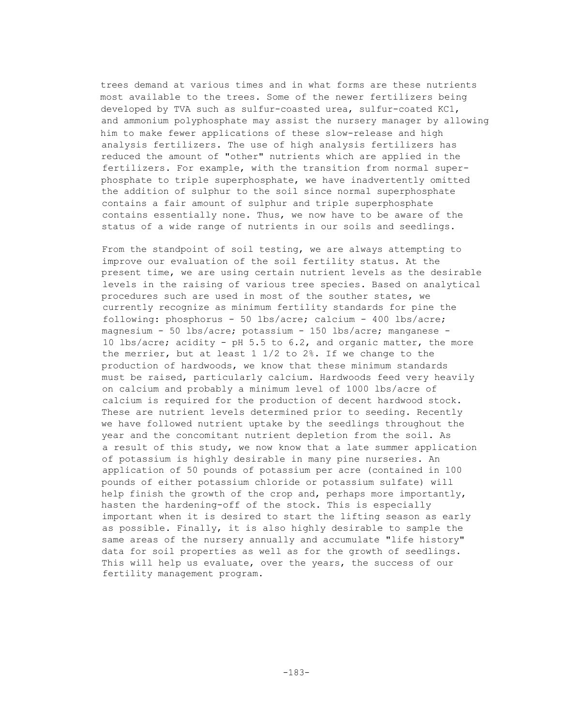trees demand at various times and in what forms are these nutrients most available to the trees. Some of the newer fertilizers being developed by TVA such as sulfur-coasted urea, sulfur-coated KC1, and ammonium polyphosphate may assist the nursery manager by allowing him to make fewer applications of these slow-release and high analysis fertilizers. The use of high analysis fertilizers has reduced the amount of "other" nutrients which are applied in the fertilizers. For example, with the transition from normal superphosphate to triple superphosphate, we have inadvertently omitted the addition of sulphur to the soil since normal superphosphate contains a fair amount of sulphur and triple superphosphate contains essentially none. Thus, we now have to be aware of the status of a wide range of nutrients in our soils and seedlings.

From the standpoint of soil testing, we are always attempting to improve our evaluation of the soil fertility status. At the present time, we are using certain nutrient levels as the desirable levels in the raising of various tree species. Based on analytical procedures such are used in most of the souther states, we currently recognize as minimum fertility standards for pine the following: phosphorus - 50 lbs/acre; calcium - 400 lbs/acre; magnesium - 50 lbs/acre; potassium - 150 lbs/acre; manganese - 10 lbs/acre; acidity - pH 5.5 to 6.2, and organic matter, the more the merrier, but at least 1 1/2 to 2%. If we change to the production of hardwoods, we know that these minimum standards must be raised, particularly calcium. Hardwoods feed very heavily on calcium and probably a minimum level of 1000 lbs/acre of calcium is required for the production of decent hardwood stock. These are nutrient levels determined prior to seeding. Recently we have followed nutrient uptake by the seedlings throughout the year and the concomitant nutrient depletion from the soil. As a result of this study, we now know that a late summer application of potassium is highly desirable in many pine nurseries. An application of 50 pounds of potassium per acre (contained in 100 pounds of either potassium chloride or potassium sulfate) will help finish the growth of the crop and, perhaps more importantly, hasten the hardening-off of the stock. This is especially important when it is desired to start the lifting season as early as possible. Finally, it is also highly desirable to sample the same areas of the nursery annually and accumulate "life history" data for soil properties as well as for the growth of seedlings. This will help us evaluate, over the years, the success of our fertility management program.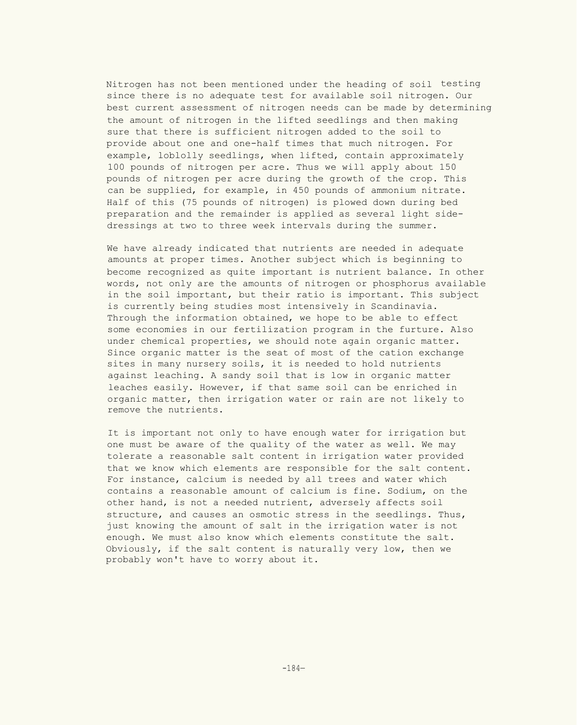Nitrogen has not been mentioned under the heading of soil testing since there is no adequate test for available soil nitrogen. Our best current assessment of nitrogen needs can be made by determining the amount of nitrogen in the lifted seedlings and then making sure that there is sufficient nitrogen added to the soil to provide about one and one-half times that much nitrogen. For example, loblolly seedlings, when lifted, contain approximately 100 pounds of nitrogen per acre. Thus we will apply about 150 pounds of nitrogen per acre during the growth of the crop. This can be supplied, for example, in 450 pounds of ammonium nitrate. Half of this (75 pounds of nitrogen) is plowed down during bed preparation and the remainder is applied as several light sidedressings at two to three week intervals during the summer.

We have already indicated that nutrients are needed in adequate amounts at proper times. Another subject which is beginning to become recognized as quite important is nutrient balance. In other words, not only are the amounts of nitrogen or phosphorus available in the soil important, but their ratio is important. This subject is currently being studies most intensively in Scandinavia. Through the information obtained, we hope to be able to effect some economies in our fertilization program in the furture. Also under chemical properties, we should note again organic matter. Since organic matter is the seat of most of the cation exchange sites in many nursery soils, it is needed to hold nutrients against leaching. A sandy soil that is low in organic matter leaches easily. However, if that same soil can be enriched in organic matter, then irrigation water or rain are not likely to remove the nutrients.

It is important not only to have enough water for irrigation but one must be aware of the quality of the water as well. We may tolerate a reasonable salt content in irrigation water provided that we know which elements are responsible for the salt content. For instance, calcium is needed by all trees and water which contains a reasonable amount of calcium is fine. Sodium, on the other hand, is not a needed nutrient, adversely affects soil structure, and causes an osmotic stress in the seedlings. Thus, just knowing the amount of salt in the irrigation water is not enough. We must also know which elements constitute the salt. Obviously, if the salt content is naturally very low, then we probably won't have to worry about it.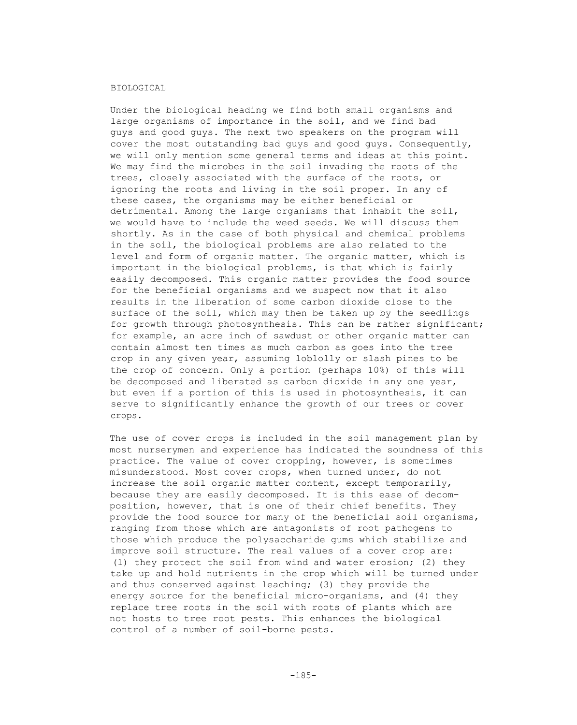#### BIOLOGICAL

Under the biological heading we find both small organisms and large organisms of importance in the soil, and we find bad guys and good guys. The next two speakers on the program will cover the most outstanding bad guys and good guys. Consequently, we will only mention some general terms and ideas at this point. We may find the microbes in the soil invading the roots of the trees, closely associated with the surface of the roots, or ignoring the roots and living in the soil proper. In any of these cases, the organisms may be either beneficial or detrimental. Among the large organisms that inhabit the soil, we would have to include the weed seeds. We will discuss them shortly. As in the case of both physical and chemical problems in the soil, the biological problems are also related to the level and form of organic matter. The organic matter, which is important in the biological problems, is that which is fairly easily decomposed. This organic matter provides the food source for the beneficial organisms and we suspect now that it also results in the liberation of some carbon dioxide close to the surface of the soil, which may then be taken up by the seedlings for growth through photosynthesis. This can be rather significant; for example, an acre inch of sawdust or other organic matter can contain almost ten times as much carbon as goes into the tree crop in any given year, assuming loblolly or slash pines to be the crop of concern. Only a portion (perhaps 10%) of this will be decomposed and liberated as carbon dioxide in any one year, but even if a portion of this is used in photosynthesis, it can serve to significantly enhance the growth of our trees or cover crops.

The use of cover crops is included in the soil management plan by most nurserymen and experience has indicated the soundness of this practice. The value of cover cropping, however, is sometimes misunderstood. Most cover crops, when turned under, do not increase the soil organic matter content, except temporarily, because they are easily decomposed. It is this ease of decomposition, however, that is one of their chief benefits. They provide the food source for many of the beneficial soil organisms, ranging from those which are antagonists of root pathogens to those which produce the polysaccharide gums which stabilize and improve soil structure. The real values of a cover crop are: (1) they protect the soil from wind and water erosion; (2) they take up and hold nutrients in the crop which will be turned under and thus conserved against leaching; (3) they provide the energy source for the beneficial micro-organisms, and (4) they replace tree roots in the soil with roots of plants which are not hosts to tree root pests. This enhances the biological control of a number of soil-borne pests.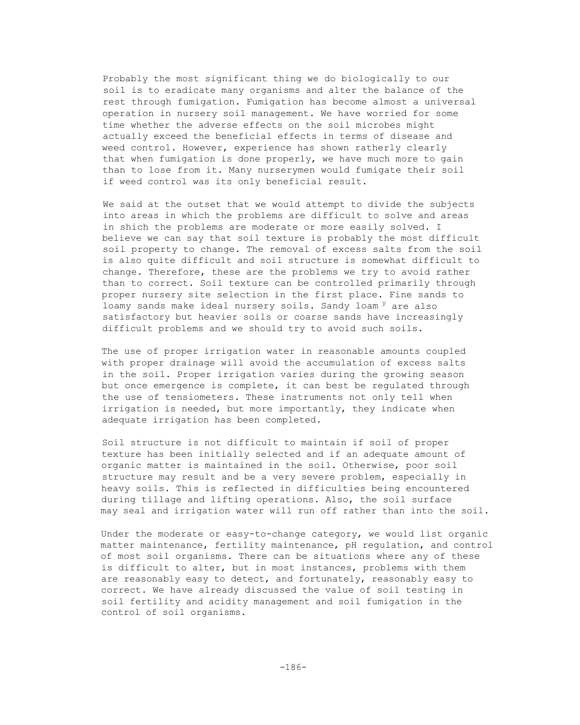Probably the most significant thing we do biologically to our soil is to eradicate many organisms and alter the balance of the rest through fumigation. Fumigation has become almost a universal operation in nursery soil management. We have worried for some time whether the adverse effects on the soil microbes might actually exceed the beneficial effects in terms of disease and weed control. However, experience has shown ratherly clearly that when fumigation is done properly, we have much more to gain than to lose from it. Many nurserymen would fumigate their soil if weed control was its only beneficial result.

We said at the outset that we would attempt to divide the subjects into areas in which the problems are difficult to solve and areas in shich the problems are moderate or more easily solved. I believe we can say that soil texture is probably the most difficult soil property to change. The removal of excess salts from the soil is also quite difficult and soil structure is somewhat difficult to change. Therefore, these are the problems we try to avoid rather than to correct. Soil texture can be controlled primarily through proper nursery site selection in the first place. Fine sands to loamy sands make ideal nursery soils. Sandy loam <sup>y</sup> are also satisfactory but heavier soils or coarse sands have increasingly difficult problems and we should try to avoid such soils.

The use of proper irrigation water in reasonable amounts coupled with proper drainage will avoid the accumulation of excess salts in the soil. Proper irrigation varies during the growing season but once emergence is complete, it can best be regulated through the use of tensiometers. These instruments not only tell when irrigation is needed, but more importantly, they indicate when adequate irrigation has been completed.

Soil structure is not difficult to maintain if soil of proper texture has been initially selected and if an adequate amount of organic matter is maintained in the soil. Otherwise, poor soil structure may result and be a very severe problem, especially in heavy soils. This is reflected in difficulties being encountered during tillage and lifting operations. Also, the soil surface may seal and irrigation water will run off rather than into the soil.

Under the moderate or easy-to-change category, we would list organic matter maintenance, fertility maintenance, pH regulation, and control of most soil organisms. There can be situations where any of these is difficult to alter, but in most instances, problems with them are reasonably easy to detect, and fortunately, reasonably easy to correct. We have already discussed the value of soil testing in soil fertility and acidity management and soil fumigation in the control of soil organisms.